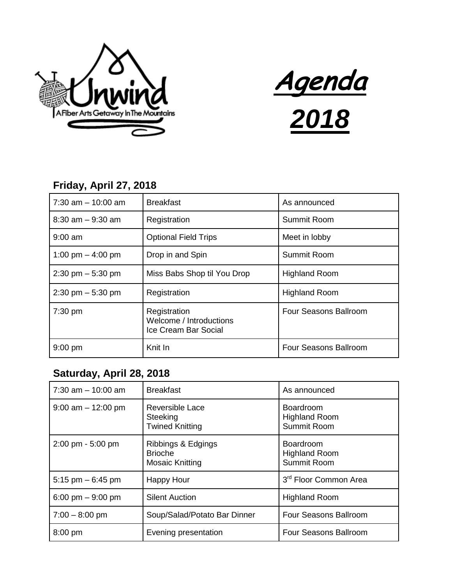



## **Friday, April 27, 2018**

| $7:30$ am $-10:00$ am               | <b>Breakfast</b>                                                | As announced          |
|-------------------------------------|-----------------------------------------------------------------|-----------------------|
| $8:30$ am $-9:30$ am                | Registration                                                    | Summit Room           |
| $9:00$ am                           | <b>Optional Field Trips</b>                                     | Meet in lobby         |
| 1:00 pm $-$ 4:00 pm                 | Drop in and Spin                                                | Summit Room           |
| $2:30 \text{ pm} - 5:30 \text{ pm}$ | Miss Babs Shop til You Drop                                     | <b>Highland Room</b>  |
| $2:30 \text{ pm} - 5:30 \text{ pm}$ | Registration                                                    | <b>Highland Room</b>  |
| $7:30$ pm                           | Registration<br>Welcome / Introductions<br>Ice Cream Bar Social | Four Seasons Ballroom |
| $9:00$ pm                           | Knit In                                                         | Four Seasons Ballroom |

## **Saturday, April 28, 2018**

| $7:30$ am $-10:00$ am               | <b>Breakfast</b>                                               | As announced                                            |
|-------------------------------------|----------------------------------------------------------------|---------------------------------------------------------|
| $9:00$ am $-12:00$ pm               | Reversible Lace<br>Steeking<br><b>Twined Knitting</b>          | <b>Boardroom</b><br><b>Highland Room</b><br>Summit Room |
| $2:00 \text{ pm} - 5:00 \text{ pm}$ | Ribbings & Edgings<br><b>Brioche</b><br><b>Mosaic Knitting</b> | Boardroom<br><b>Highland Room</b><br>Summit Room        |
| 5:15 pm $-6:45$ pm                  | <b>Happy Hour</b>                                              | 3 <sup>rd</sup> Floor Common Area                       |
| 6:00 pm $-9:00$ pm                  | <b>Silent Auction</b>                                          | <b>Highland Room</b>                                    |
| $7:00 - 8:00$ pm                    | Soup/Salad/Potato Bar Dinner                                   | Four Seasons Ballroom                                   |
| 8:00 pm                             | Evening presentation                                           | Four Seasons Ballroom                                   |